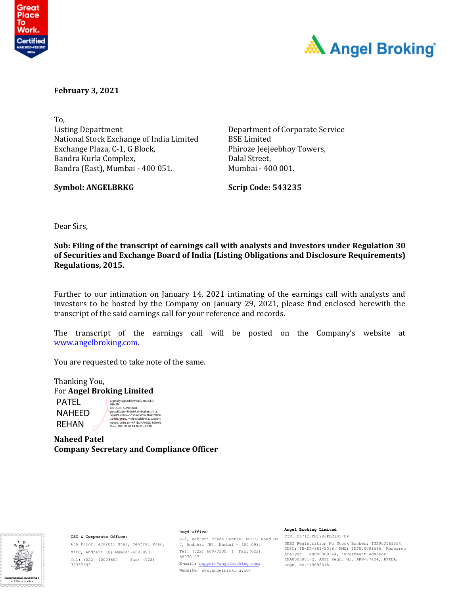



**February 3, 2021**

To, Listing Department National Stock Exchange of India Limited Exchange Plaza, C-1, G Block, Bandra Kurla Complex, Bandra (East), Mumbai - 400 051.

**Symbol: ANGELBRKG Scrip Code: 543235**

Department of Corporate Service BSE Limited Phiroze Jeejeebhoy Towers, Dalal Street, Mumbai - 400 001.

Dear Sirs,

**Sub: Filing of the transcript of earnings call with analysts and investors under Regulation 30 of Securities and Exchange Board of India (Listing Obligations and Disclosure Requirements) Regulations, 2015.** 

Further to our intimation on January 14, 2021 intimating of the earnings call with analysts and investors to be hosted by the Company on January 29, 2021, please find enclosed herewith the transcript of the said earnings call for your reference and records.

The transcript of the earnings call will be posted on the Company's website at www.angelbroking.com.

You are requested to take note of the same.

Thanking You, For **Angel Broking Limited** PATEL NAHEED Digitally signed by PATEL NAHEED REHAN DN: c=IN, o=Personal,

REHAN

postalCode=400059, st=Maharashtra,<br>serialNumber=333b54bd95a7b4b72066<br>364d67a6162749f8eacabfc4132538e641<br>ebee970e18, cn=PATEL NAHEED REHAN<br>Date: 2021.02.03 14:50:33 +05'30'

**Naheed Patel Company Secretary and Compliance Officer** 



#### **CSO & Corporate Office:**

6th Floor, Ackruti Star, Central Road, MIDC, Andheri (E) Mumbai-400 093. Tel: (022) 40003600 | Fax: (022) 39357699

#### 7, Andheri (E), Mumbai - 400 093. Tel: (022) 68070100 | Fax:(022) 68070107 E-mail: support@angelbroking.com, Website: www.angelbroking.com

**Regd Office:** 

#### **Angel Broking Limited**

G-1, Ackruti Trade Centre, MIDC, Road No-CIN: U67120MH1996PLC101709 SEBI Registration No Stock Broker: INZ000161534, CDSL: IN-DP-384-2018, PMS: INP000001546, Research Analyst: INH000000164, Investment Advisor: INA000008172, AMFI Regn. No. ARN–77404, PFRDA, Regn. No.-19092018.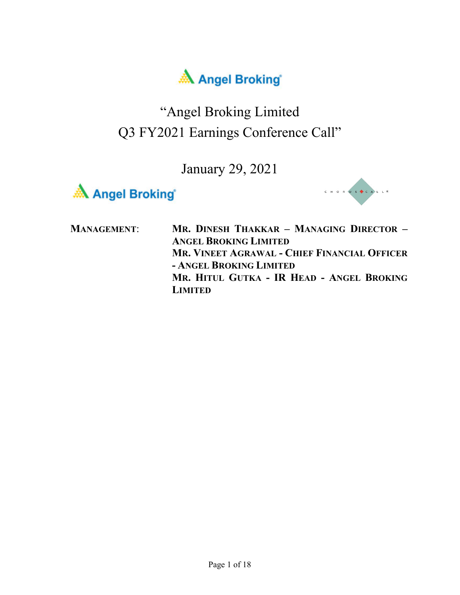

## "Angel Broking Limited Q3 FY2021 Earnings Conference Call"





| <b>MANAGEMENT:</b> | MR. DINESH THAKKAR - MANAGING DIRECTOR -<br><b>ANGEL BROKING LIMITED</b> |
|--------------------|--------------------------------------------------------------------------|
|                    | MR. VINEET AGRAWAL - CHIEF FINANCIAL OFFICER                             |
|                    | - ANGEL BROKING LIMITED                                                  |
|                    | MR. HITUL GUTKA - IR HEAD - ANGEL BROKING                                |
|                    | <b>LIMITED</b>                                                           |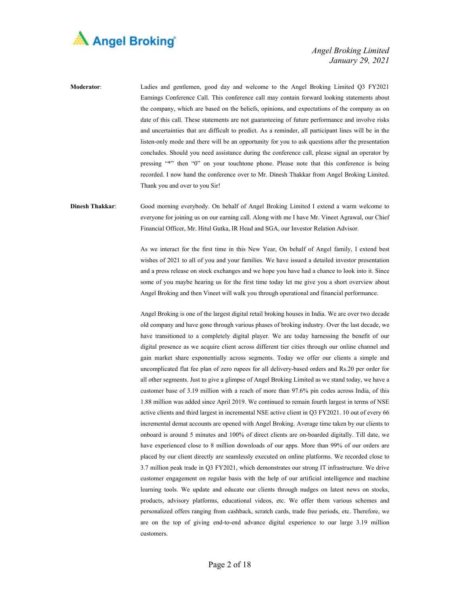

**Moderator**: Ladies and gentlemen, good day and welcome to the Angel Broking Limited Q3 FY2021 Earnings Conference Call. This conference call may contain forward looking statements about the company, which are based on the beliefs, opinions, and expectations of the company as on date of this call. These statements are not guaranteeing of future performance and involve risks and uncertainties that are difficult to predict. As a reminder, all participant lines will be in the listen-only mode and there will be an opportunity for you to ask questions after the presentation concludes. Should you need assistance during the conference call, please signal an operator by pressing "\*" then "0" on your touchtone phone. Please note that this conference is being recorded. I now hand the conference over to Mr. Dinesh Thakkar from Angel Broking Limited. Thank you and over to you Sir!

**Dinesh Thakkar**: Good morning everybody. On behalf of Angel Broking Limited I extend a warm welcome to everyone for joining us on our earning call. Along with me I have Mr. Vineet Agrawal, our Chief Financial Officer, Mr. Hitul Gutka, IR Head and SGA, our Investor Relation Advisor.

> As we interact for the first time in this New Year, On behalf of Angel family, I extend best wishes of 2021 to all of you and your families. We have issued a detailed investor presentation and a press release on stock exchanges and we hope you have had a chance to look into it. Since some of you maybe hearing us for the first time today let me give you a short overview about Angel Broking and then Vineet will walk you through operational and financial performance.

> Angel Broking is one of the largest digital retail broking houses in India. We are over two decade old company and have gone through various phases of broking industry. Over the last decade, we have transitioned to a completely digital player. We are today harnessing the benefit of our digital presence as we acquire client across different tier cities through our online channel and gain market share exponentially across segments. Today we offer our clients a simple and uncomplicated flat fee plan of zero rupees for all delivery-based orders and Rs.20 per order for all other segments. Just to give a glimpse of Angel Broking Limited as we stand today, we have a customer base of 3.19 million with a reach of more than 97.6% pin codes across India, of this 1.88 million was added since April 2019. We continued to remain fourth largest in terms of NSE active clients and third largest in incremental NSE active client in Q3 FY2021. 10 out of every 66 incremental demat accounts are opened with Angel Broking. Average time taken by our clients to onboard is around 5 minutes and 100% of direct clients are on-boarded digitally. Till date, we have experienced close to 8 million downloads of our apps. More than 99% of our orders are placed by our client directly are seamlessly executed on online platforms. We recorded close to 3.7 million peak trade in Q3 FY2021, which demonstrates our strong IT infrastructure. We drive customer engagement on regular basis with the help of our artificial intelligence and machine learning tools. We update and educate our clients through nudges on latest news on stocks, products, advisory platforms, educational videos, etc. We offer them various schemes and personalized offers ranging from cashback, scratch cards, trade free periods, etc. Therefore, we are on the top of giving end-to-end advance digital experience to our large 3.19 million customers.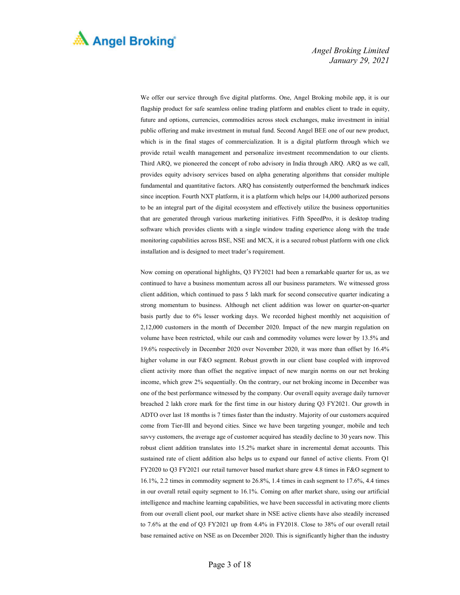

We offer our service through five digital platforms. One, Angel Broking mobile app, it is our flagship product for safe seamless online trading platform and enables client to trade in equity, future and options, currencies, commodities across stock exchanges, make investment in initial public offering and make investment in mutual fund. Second Angel BEE one of our new product, which is in the final stages of commercialization. It is a digital platform through which we provide retail wealth management and personalize investment recommendation to our clients. Third ARQ, we pioneered the concept of robo advisory in India through ARQ. ARQ as we call, provides equity advisory services based on alpha generating algorithms that consider multiple fundamental and quantitative factors. ARQ has consistently outperformed the benchmark indices since inception. Fourth NXT platform, it is a platform which helps our 14,000 authorized persons to be an integral part of the digital ecosystem and effectively utilize the business opportunities that are generated through various marketing initiatives. Fifth SpeedPro, it is desktop trading software which provides clients with a single window trading experience along with the trade monitoring capabilities across BSE, NSE and MCX, it is a secured robust platform with one click installation and is designed to meet trader's requirement.

 Now coming on operational highlights, Q3 FY2021 had been a remarkable quarter for us, as we continued to have a business momentum across all our business parameters. We witnessed gross client addition, which continued to pass 5 lakh mark for second consecutive quarter indicating a strong momentum to business. Although net client addition was lower on quarter-on-quarter basis partly due to 6% lesser working days. We recorded highest monthly net acquisition of 2,12,000 customers in the month of December 2020. Impact of the new margin regulation on volume have been restricted, while our cash and commodity volumes were lower by 13.5% and 19.6% respectively in December 2020 over November 2020, it was more than offset by 16.4% higher volume in our F&O segment. Robust growth in our client base coupled with improved client activity more than offset the negative impact of new margin norms on our net broking income, which grew 2% sequentially. On the contrary, our net broking income in December was one of the best performance witnessed by the company. Our overall equity average daily turnover breached 2 lakh crore mark for the first time in our history during Q3 FY2021. Our growth in ADTO over last 18 months is 7 times faster than the industry. Majority of our customers acquired come from Tier-III and beyond cities. Since we have been targeting younger, mobile and tech savvy customers, the average age of customer acquired has steadily decline to 30 years now. This robust client addition translates into 15.2% market share in incremental demat accounts. This sustained rate of client addition also helps us to expand our funnel of active clients. From Q1 FY2020 to Q3 FY2021 our retail turnover based market share grew 4.8 times in F&O segment to 16.1%, 2.2 times in commodity segment to 26.8%, 1.4 times in cash segment to 17.6%, 4.4 times in our overall retail equity segment to 16.1%. Coming on after market share, using our artificial intelligence and machine learning capabilities, we have been successful in activating more clients from our overall client pool, our market share in NSE active clients have also steadily increased to 7.6% at the end of Q3 FY2021 up from 4.4% in FY2018. Close to 38% of our overall retail base remained active on NSE as on December 2020. This is significantly higher than the industry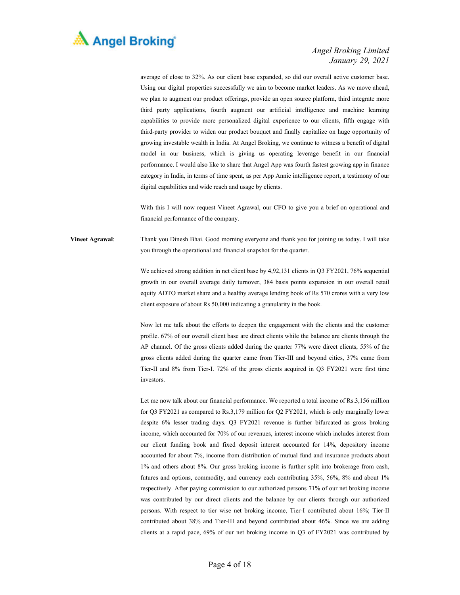

average of close to 32%. As our client base expanded, so did our overall active customer base. Using our digital properties successfully we aim to become market leaders. As we move ahead, we plan to augment our product offerings, provide an open source platform, third integrate more third party applications, fourth augment our artificial intelligence and machine learning capabilities to provide more personalized digital experience to our clients, fifth engage with third-party provider to widen our product bouquet and finally capitalize on huge opportunity of growing investable wealth in India. At Angel Broking, we continue to witness a benefit of digital model in our business, which is giving us operating leverage benefit in our financial performance. I would also like to share that Angel App was fourth fastest growing app in finance category in India, in terms of time spent, as per App Annie intelligence report, a testimony of our digital capabilities and wide reach and usage by clients.

With this I will now request Vineet Agrawal, our CFO to give you a brief on operational and financial performance of the company.

**Vineet Agrawal**: Thank you Dinesh Bhai. Good morning everyone and thank you for joining us today. I will take you through the operational and financial snapshot for the quarter.

> We achieved strong addition in net client base by 4,92,131 clients in Q3 FY2021, 76% sequential growth in our overall average daily turnover, 384 basis points expansion in our overall retail equity ADTO market share and a healthy average lending book of Rs 570 crores with a very low client exposure of about Rs 50,000 indicating a granularity in the book.

> Now let me talk about the efforts to deepen the engagement with the clients and the customer profile. 67% of our overall client base are direct clients while the balance are clients through the AP channel. Of the gross clients added during the quarter 77% were direct clients, 55% of the gross clients added during the quarter came from Tier-III and beyond cities, 37% came from Tier-II and 8% from Tier-I. 72% of the gross clients acquired in Q3 FY2021 were first time investors.

> Let me now talk about our financial performance. We reported a total income of Rs.3,156 million for Q3 FY2021 as compared to Rs.3,179 million for Q2 FY2021, which is only marginally lower despite 6% lesser trading days. Q3 FY2021 revenue is further bifurcated as gross broking income, which accounted for 70% of our revenues, interest income which includes interest from our client funding book and fixed deposit interest accounted for 14%, depository income accounted for about 7%, income from distribution of mutual fund and insurance products about 1% and others about 8%. Our gross broking income is further split into brokerage from cash, futures and options, commodity, and currency each contributing 35%, 56%, 8% and about 1% respectively. After paying commission to our authorized persons 71% of our net broking income was contributed by our direct clients and the balance by our clients through our authorized persons. With respect to tier wise net broking income, Tier-I contributed about 16%; Tier-II contributed about 38% and Tier-III and beyond contributed about 46%. Since we are adding clients at a rapid pace, 69% of our net broking income in Q3 of FY2021 was contributed by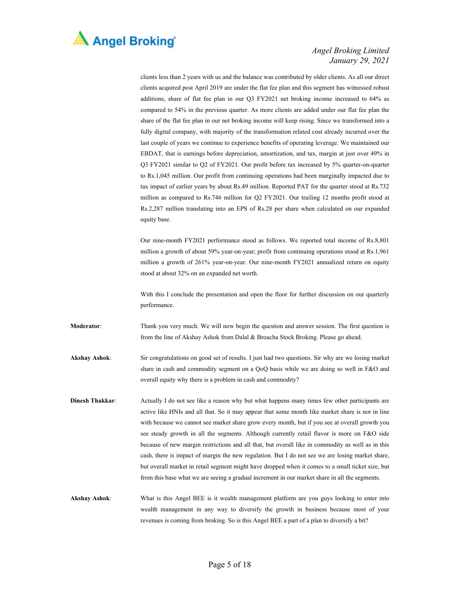

clients less than 2 years with us and the balance was contributed by older clients. As all our direct clients acquired post April 2019 are under the flat fee plan and this segment has witnessed robust additions, share of flat fee plan in our Q3 FY2021 net broking income increased to 64% as compared to 54% in the previous quarter. As more clients are added under our flat fee plan the share of the flat fee plan in our net broking income will keep rising. Since we transformed into a fully digital company, with majority of the transformation related cost already incurred over the last couple of years we continue to experience benefits of operating leverage. We maintained our EBDAT, that is earnings before depreciation, amortization, and tax, margin at just over 49% in Q3 FY2021 similar to Q2 of FY2021. Our profit before tax increased by 5% quarter-on-quarter to Rs.1,045 million. Our profit from continuing operations had been marginally impacted due to tax impact of earlier years by about Rs.49 million. Reported PAT for the quarter stood at Rs.732 million as compared to Rs.746 million for Q2 FY2021. Our trailing 12 months profit stood at Rs.2,287 million translating into an EPS of Rs.28 per share when calculated on our expanded equity base.

Our nine-month FY2021 performance stood as follows. We reported total income of Rs.8,801 million a growth of about 59% year-on-year; profit from continuing operations stood at Rs.1,961 million a growth of 261% year-on-year. Our nine-month FY2021 annualized return on equity stood at about 32% on an expanded net worth.

With this I conclude the presentation and open the floor for further discussion on our quarterly performance.

- **Moderator**: Thank you very much. We will now begin the question and answer session. The first question is from the line of Akshay Ashok from Dalal & Broacha Stock Broking. Please go ahead.
- **Akshay Ashok**: Sir congratulations on good set of results. I just had two questions. Sir why are we losing market share in cash and commodity segment on a QoQ basis while we are doing so well in F&O and overall equity why there is a problem in cash and commodity?
- **Dinesh Thakkar:** Actually I do not see like a reason why but what happens many times few other participants are active like HNIs and all that. So it may appear that some month like market share is not in line with because we cannot see market share grow every month, but if you see at overall growth you see steady growth in all the segments. Although currently retail flavor is more on F&O side because of new margin restrictions and all that, but overall like in commodity as well as in this cash, there is impact of margin the new regulation. But I do not see we are losing market share, but overall market in retail segment might have dropped when it comes to a small ticket size, but from this base what we are seeing a gradual increment in our market share in all the segments.
- **Akshay Ashok**: What is this Angel BEE is it wealth management platform are you guys looking to enter into wealth management in any way to diversify the growth in business because most of your revenues is coming from broking. So is this Angel BEE a part of a plan to diversify a bit?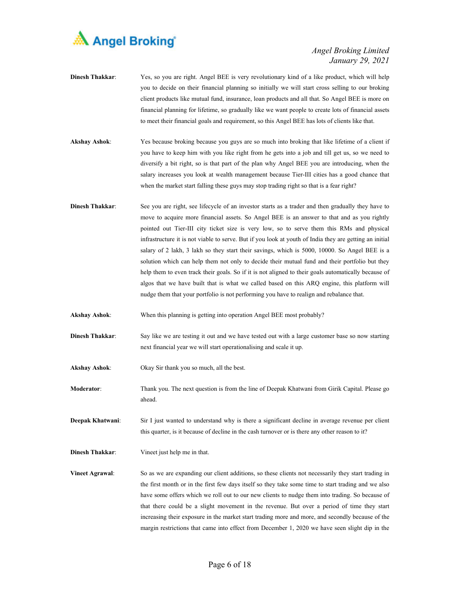

- **Dinesh Thakkar**: Yes, so you are right. Angel BEE is very revolutionary kind of a like product, which will help you to decide on their financial planning so initially we will start cross selling to our broking client products like mutual fund, insurance, loan products and all that. So Angel BEE is more on financial planning for lifetime, so gradually like we want people to create lots of financial assets to meet their financial goals and requirement, so this Angel BEE has lots of clients like that.
- **Akshay Ashok**: Yes because broking because you guys are so much into broking that like lifetime of a client if you have to keep him with you like right from he gets into a job and till get us, so we need to diversify a bit right, so is that part of the plan why Angel BEE you are introducing, when the salary increases you look at wealth management because Tier-III cities has a good chance that when the market start falling these guys may stop trading right so that is a fear right?
- **Dinesh Thakkar**: See you are right, see lifecycle of an investor starts as a trader and then gradually they have to move to acquire more financial assets. So Angel BEE is an answer to that and as you rightly pointed out Tier-III city ticket size is very low, so to serve them this RMs and physical infrastructure it is not viable to serve. But if you look at youth of India they are getting an initial salary of 2 lakh, 3 lakh so they start their savings, which is 5000, 10000. So Angel BEE is a solution which can help them not only to decide their mutual fund and their portfolio but they help them to even track their goals. So if it is not aligned to their goals automatically because of algos that we have built that is what we called based on this ARQ engine, this platform will nudge them that your portfolio is not performing you have to realign and rebalance that.
- **Akshay Ashok**: When this planning is getting into operation Angel BEE most probably?
- **Dinesh Thakkar**: Say like we are testing it out and we have tested out with a large customer base so now starting next financial year we will start operationalising and scale it up.
- **Akshay Ashok**: Okay Sir thank you so much, all the best.
- **Moderator**: Thank you. The next question is from the line of Deepak Khatwani from Girik Capital. Please go ahead.

**Deepak Khatwani**: Sir I just wanted to understand why is there a significant decline in average revenue per client this quarter, is it because of decline in the cash turnover or is there any other reason to it?

**Dinesh Thakkar**: Vineet just help me in that.

**Vineet Agrawal:** So as we are expanding our client additions, so these clients not necessarily they start trading in the first month or in the first few days itself so they take some time to start trading and we also have some offers which we roll out to our new clients to nudge them into trading. So because of that there could be a slight movement in the revenue. But over a period of time they start increasing their exposure in the market start trading more and more, and secondly because of the margin restrictions that came into effect from December 1, 2020 we have seen slight dip in the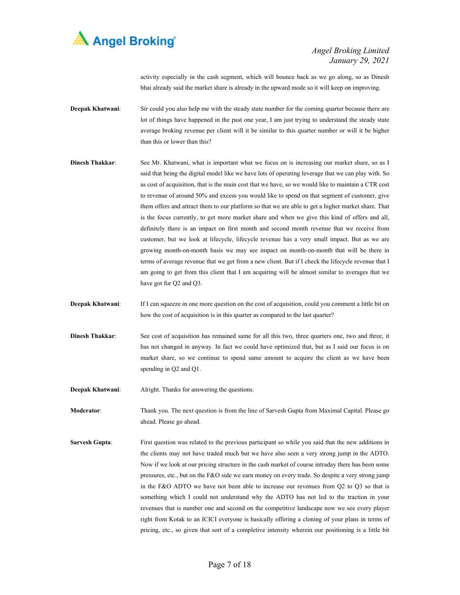

activity especially in the cash segment, which will bounce back as we go along, so as Dinesh bhai already said the market share is already in the upward mode so it will keep on improving.

- **Deepak Khatwani:** Sir could you also help me with the steady state number for the coming quarter because there are lot of things have happened in the past one year, I am just trying to understand the steady state average broking revenue per client will it be similar to this quarter number or will it be higher than this or lower than this?
- **Dinesh Thakkar:** See Mr. Khatwani, what is important what we focus on is increasing our market share, so as I said that being the digital model like we have lots of operating leverage that we can play with. So as cost of acquisition, that is the main cost that we have, so we would like to maintain a CTR cost to revenue of around 50% and excess you would like to spend on that segment of customer, give them offers and attract them to our platform so that we are able to get a higher market share. That is the focus currently, to get more market share and when we give this kind of offers and all, definitely there is an impact on first month and second month revenue that we receive from customer, but we look at lifecycle, lifecycle revenue has a very small impact. But as we are growing month-on-month basis we may see impact on month-on-month that will be there in terms of average revenue that we get from a new client. But if I check the lifecycle revenue that I am going to get from this client that I am acquiring will be almost similar to averages that we have got for Q2 and Q3.
- **Deepak Khatwani:** If I can squeeze in one more question on the cost of acquisition, could you comment a little bit on how the cost of acquisition is in this quarter as compared to the last quarter?
- **Dinesh Thakkar**: See cost of acquisition has remained same for all this two, three quarters one, two and three, it has not changed in anyway. In fact we could have optimized that, but as I said our focus is on market share, so we continue to spend same amount to acquire the client as we have been spending in Q2 and Q1.
- **Deepak Khatwani:** Alright. Thanks for answering the questions.

**Moderator**: Thank you. The next question is from the line of Sarvesh Gupta from Maximal Capital. Please go ahead. Please go ahead.

**Sarvesh Gupta:** First question was related to the previous participant so while you said that the new additions in the clients may not have traded much but we have also seen a very strong jump in the ADTO. Now if we look at our pricing structure in the cash market of course intraday there has been some pressures, etc., but on the F&O side we earn money on every trade. So despite a very strong jump in the F&O ADTO we have not been able to increase our revenues from Q2 to Q3 so that is something which I could not understand why the ADTO has not led to the traction in your revenues that is number one and second on the competitive landscape now we see every player right from Kotak to an ICICI everyone is basically offering a cloning of your plans in terms of pricing, etc., so given that sort of a completive intensity wherein our positioning is a little bit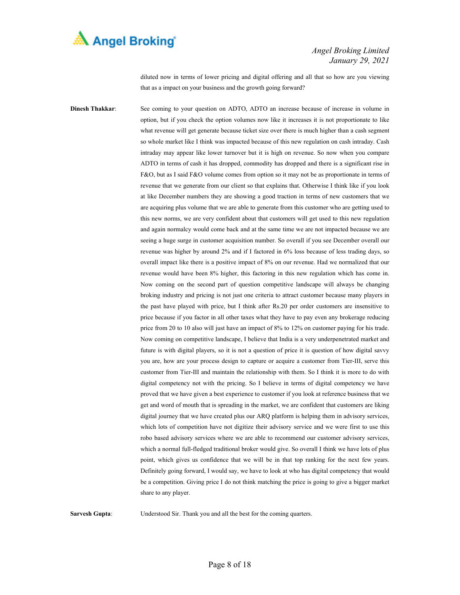

diluted now in terms of lower pricing and digital offering and all that so how are you viewing that as a impact on your business and the growth going forward?

**Dinesh Thakkar**: See coming to your question on ADTO, ADTO an increase because of increase in volume in option, but if you check the option volumes now like it increases it is not proportionate to like what revenue will get generate because ticket size over there is much higher than a cash segment so whole market like I think was impacted because of this new regulation on cash intraday. Cash intraday may appear like lower turnover but it is high on revenue. So now when you compare ADTO in terms of cash it has dropped, commodity has dropped and there is a significant rise in F&O, but as I said F&O volume comes from option so it may not be as proportionate in terms of revenue that we generate from our client so that explains that. Otherwise I think like if you look at like December numbers they are showing a good traction in terms of new customers that we are acquiring plus volume that we are able to generate from this customer who are getting used to this new norms, we are very confident about that customers will get used to this new regulation and again normalcy would come back and at the same time we are not impacted because we are seeing a huge surge in customer acquisition number. So overall if you see December overall our revenue was higher by around 2% and if I factored in 6% loss because of less trading days, so overall impact like there is a positive impact of 8% on our revenue. Had we normalized that our revenue would have been 8% higher, this factoring in this new regulation which has come in. Now coming on the second part of question competitive landscape will always be changing broking industry and pricing is not just one criteria to attract customer because many players in the past have played with price, but I think after Rs.20 per order customers are insensitive to price because if you factor in all other taxes what they have to pay even any brokerage reducing price from 20 to 10 also will just have an impact of 8% to 12% on customer paying for his trade. Now coming on competitive landscape, I believe that India is a very underpenetrated market and future is with digital players, so it is not a question of price it is question of how digital savvy you are, how are your process design to capture or acquire a customer from Tier-III, serve this customer from Tier-III and maintain the relationship with them. So I think it is more to do with digital competency not with the pricing. So I believe in terms of digital competency we have proved that we have given a best experience to customer if you look at reference business that we get and word of mouth that is spreading in the market, we are confident that customers are liking digital journey that we have created plus our ARQ platform is helping them in advisory services, which lots of competition have not digitize their advisory service and we were first to use this robo based advisory services where we are able to recommend our customer advisory services, which a normal full-fledged traditional broker would give. So overall I think we have lots of plus point, which gives us confidence that we will be in that top ranking for the next few years. Definitely going forward, I would say, we have to look at who has digital competency that would be a competition. Giving price I do not think matching the price is going to give a bigger market share to any player.

**Sarvesh Gupta:** Understood Sir. Thank you and all the best for the coming quarters.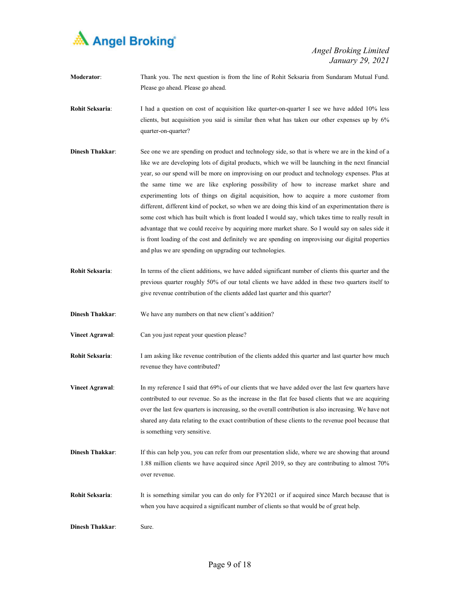

**Moderator**: Thank you. The next question is from the line of Rohit Seksaria from Sundaram Mutual Fund. Please go ahead. Please go ahead.

**Rohit Seksaria:** I had a question on cost of acquisition like quarter-on-quarter I see we have added 10% less clients, but acquisition you said is similar then what has taken our other expenses up by 6% quarter-on-quarter?

- **Dinesh Thakkar**: See one we are spending on product and technology side, so that is where we are in the kind of a like we are developing lots of digital products, which we will be launching in the next financial year, so our spend will be more on improvising on our product and technology expenses. Plus at the same time we are like exploring possibility of how to increase market share and experimenting lots of things on digital acquisition, how to acquire a more customer from different, different kind of pocket, so when we are doing this kind of an experimentation there is some cost which has built which is front loaded I would say, which takes time to really result in advantage that we could receive by acquiring more market share. So I would say on sales side it is front loading of the cost and definitely we are spending on improvising our digital properties and plus we are spending on upgrading our technologies.
- **Rohit Seksaria**: In terms of the client additions, we have added significant number of clients this quarter and the previous quarter roughly 50% of our total clients we have added in these two quarters itself to give revenue contribution of the clients added last quarter and this quarter?

**Dinesh Thakkar**: We have any numbers on that new client's addition?

- **Vineet Agrawal**: Can you just repeat your question please?
- **Rohit Seksaria**: I am asking like revenue contribution of the clients added this quarter and last quarter how much revenue they have contributed?
- **Vineet Agrawal**: In my reference I said that 69% of our clients that we have added over the last few quarters have contributed to our revenue. So as the increase in the flat fee based clients that we are acquiring over the last few quarters is increasing, so the overall contribution is also increasing. We have not shared any data relating to the exact contribution of these clients to the revenue pool because that is something very sensitive.
- **Dinesh Thakkar**: If this can help you, you can refer from our presentation slide, where we are showing that around 1.88 million clients we have acquired since April 2019, so they are contributing to almost 70% over revenue.
- **Rohit Seksaria:** It is something similar you can do only for FY2021 or if acquired since March because that is when you have acquired a significant number of clients so that would be of great help.
- **Dinesh Thakkar:** Sure.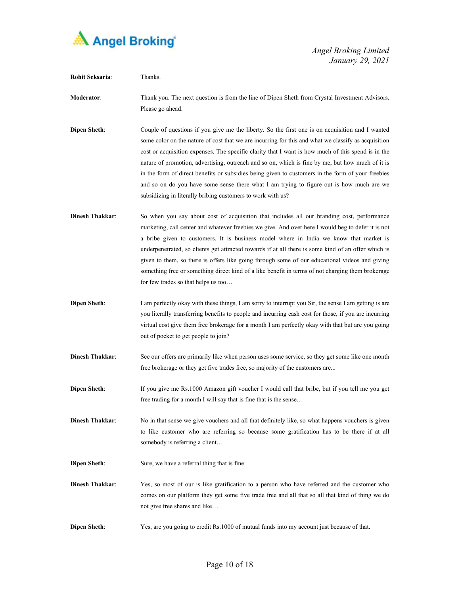

| Rohit Seksaria:        | Thanks.                                                                                                                                                                                                                                                                                                                                                                                                                                                                                                                                                                                                                                                                          |
|------------------------|----------------------------------------------------------------------------------------------------------------------------------------------------------------------------------------------------------------------------------------------------------------------------------------------------------------------------------------------------------------------------------------------------------------------------------------------------------------------------------------------------------------------------------------------------------------------------------------------------------------------------------------------------------------------------------|
| Moderator:             | Thank you. The next question is from the line of Dipen Sheth from Crystal Investment Advisors.<br>Please go ahead.                                                                                                                                                                                                                                                                                                                                                                                                                                                                                                                                                               |
| <b>Dipen Sheth:</b>    | Couple of questions if you give me the liberty. So the first one is on acquisition and I wanted<br>some color on the nature of cost that we are incurring for this and what we classify as acquisition<br>cost or acquisition expenses. The specific clarity that I want is how much of this spend is in the<br>nature of promotion, advertising, outreach and so on, which is fine by me, but how much of it is<br>in the form of direct benefits or subsidies being given to customers in the form of your freebies<br>and so on do you have some sense there what I am trying to figure out is how much are we<br>subsidizing in literally bribing customers to work with us? |
| <b>Dinesh Thakkar:</b> | So when you say about cost of acquisition that includes all our branding cost, performance<br>marketing, call center and whatever freebies we give. And over here I would beg to defer it is not<br>a bribe given to customers. It is business model where in India we know that market is<br>underpenetrated, so clients get attracted towards if at all there is some kind of an offer which is<br>given to them, so there is offers like going through some of our educational videos and giving<br>something free or something direct kind of a like benefit in terms of not charging them brokerage<br>for few trades so that helps us too                                  |
| <b>Dipen Sheth:</b>    | I am perfectly okay with these things, I am sorry to interrupt you Sir, the sense I am getting is are<br>you literally transferring benefits to people and incurring cash cost for those, if you are incurring<br>virtual cost give them free brokerage for a month I am perfectly okay with that but are you going<br>out of pocket to get people to join?                                                                                                                                                                                                                                                                                                                      |
| <b>Dinesh Thakkar:</b> | See our offers are primarily like when person uses some service, so they get some like one month<br>free brokerage or they get five trades free, so majority of the customers are                                                                                                                                                                                                                                                                                                                                                                                                                                                                                                |
| <b>Dipen Sheth:</b>    | If you give me Rs.1000 Amazon gift voucher I would call that bribe, but if you tell me you get<br>free trading for a month I will say that is fine that is the sense                                                                                                                                                                                                                                                                                                                                                                                                                                                                                                             |
| <b>Dinesh Thakkar:</b> | No in that sense we give vouchers and all that definitely like, so what happens vouchers is given<br>to like customer who are referring so because some gratification has to be there if at all<br>somebody is referring a client                                                                                                                                                                                                                                                                                                                                                                                                                                                |
| <b>Dipen Sheth:</b>    | Sure, we have a referral thing that is fine.                                                                                                                                                                                                                                                                                                                                                                                                                                                                                                                                                                                                                                     |
| <b>Dinesh Thakkar:</b> | Yes, so most of our is like gratification to a person who have referred and the customer who<br>comes on our platform they get some five trade free and all that so all that kind of thing we do<br>not give free shares and like                                                                                                                                                                                                                                                                                                                                                                                                                                                |
| <b>Dipen Sheth:</b>    | Yes, are you going to credit Rs.1000 of mutual funds into my account just because of that.                                                                                                                                                                                                                                                                                                                                                                                                                                                                                                                                                                                       |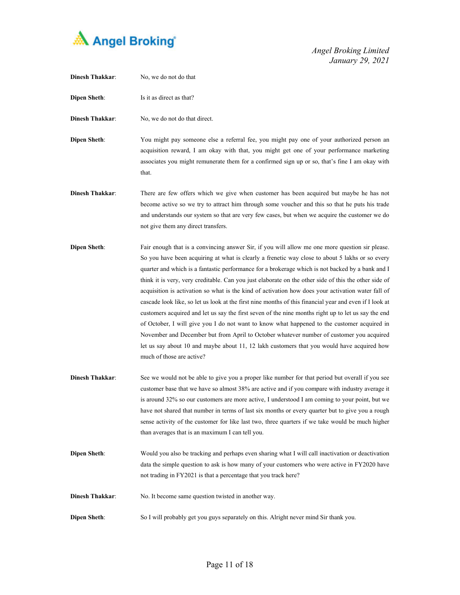

| <b>Dinesh Thakkar:</b> | No, we do not do that                                                                                                                                                                                                                                                                                                                                                                                                                                                                                                                                                                                                                                                                                                                                                                                                                                                                                                                                                                                                                                         |
|------------------------|---------------------------------------------------------------------------------------------------------------------------------------------------------------------------------------------------------------------------------------------------------------------------------------------------------------------------------------------------------------------------------------------------------------------------------------------------------------------------------------------------------------------------------------------------------------------------------------------------------------------------------------------------------------------------------------------------------------------------------------------------------------------------------------------------------------------------------------------------------------------------------------------------------------------------------------------------------------------------------------------------------------------------------------------------------------|
| <b>Dipen Sheth:</b>    | Is it as direct as that?                                                                                                                                                                                                                                                                                                                                                                                                                                                                                                                                                                                                                                                                                                                                                                                                                                                                                                                                                                                                                                      |
| <b>Dinesh Thakkar:</b> | No, we do not do that direct.                                                                                                                                                                                                                                                                                                                                                                                                                                                                                                                                                                                                                                                                                                                                                                                                                                                                                                                                                                                                                                 |
| <b>Dipen Sheth:</b>    | You might pay someone else a referral fee, you might pay one of your authorized person an<br>acquisition reward, I am okay with that, you might get one of your performance marketing<br>associates you might remunerate them for a confirmed sign up or so, that's fine I am okay with<br>that.                                                                                                                                                                                                                                                                                                                                                                                                                                                                                                                                                                                                                                                                                                                                                              |
| <b>Dinesh Thakkar:</b> | There are few offers which we give when customer has been acquired but maybe he has not<br>become active so we try to attract him through some voucher and this so that he puts his trade<br>and understands our system so that are very few cases, but when we acquire the customer we do<br>not give them any direct transfers.                                                                                                                                                                                                                                                                                                                                                                                                                                                                                                                                                                                                                                                                                                                             |
| <b>Dipen Sheth:</b>    | Fair enough that is a convincing answer Sir, if you will allow me one more question sir please.<br>So you have been acquiring at what is clearly a frenetic way close to about 5 lakhs or so every<br>quarter and which is a fantastic performance for a brokerage which is not backed by a bank and I<br>think it is very, very creditable. Can you just elaborate on the other side of this the other side of<br>acquisition is activation so what is the kind of activation how does your activation water fall of<br>cascade look like, so let us look at the first nine months of this financial year and even if I look at<br>customers acquired and let us say the first seven of the nine months right up to let us say the end<br>of October, I will give you I do not want to know what happened to the customer acquired in<br>November and December but from April to October whatever number of customer you acquired<br>let us say about 10 and maybe about 11, 12 lakh customers that you would have acquired how<br>much of those are active? |
| <b>Dinesh Thakkar:</b> | See we would not be able to give you a proper like number for that period but overall if you see<br>customer base that we have so almost 38% are active and if you compare with industry average it<br>is around 32% so our customers are more active, I understood I am coming to your point, but we<br>have not shared that number in terms of last six months or every quarter but to give you a rough<br>sense activity of the customer for like last two, three quarters if we take would be much higher<br>than averages that is an maximum I can tell you.                                                                                                                                                                                                                                                                                                                                                                                                                                                                                             |
| <b>Dipen Sheth:</b>    | Would you also be tracking and perhaps even sharing what I will call inactivation or deactivation<br>data the simple question to ask is how many of your customers who were active in FY2020 have<br>not trading in FY2021 is that a percentage that you track here?                                                                                                                                                                                                                                                                                                                                                                                                                                                                                                                                                                                                                                                                                                                                                                                          |
| <b>Dinesh Thakkar:</b> | No. It become same question twisted in another way.                                                                                                                                                                                                                                                                                                                                                                                                                                                                                                                                                                                                                                                                                                                                                                                                                                                                                                                                                                                                           |
| <b>Dipen Sheth:</b>    | So I will probably get you guys separately on this. Alright never mind Sir thank you.                                                                                                                                                                                                                                                                                                                                                                                                                                                                                                                                                                                                                                                                                                                                                                                                                                                                                                                                                                         |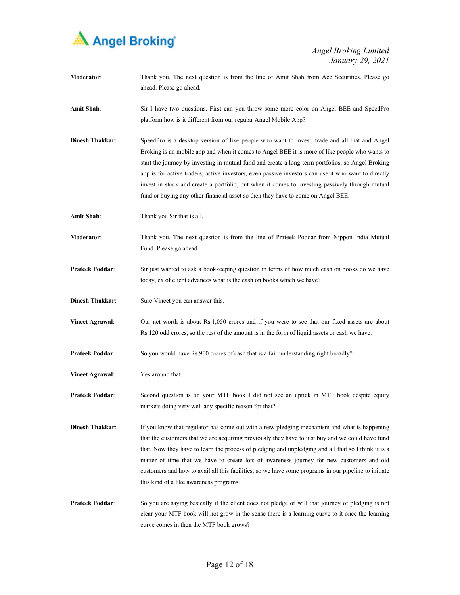

| Moderator:             | Thank you. The next question is from the line of Amit Shah from Ace Securities. Please go<br>ahead. Please go ahead.                                                                                                                                                                                                                                                                                                                                                                                                                                                                               |
|------------------------|----------------------------------------------------------------------------------------------------------------------------------------------------------------------------------------------------------------------------------------------------------------------------------------------------------------------------------------------------------------------------------------------------------------------------------------------------------------------------------------------------------------------------------------------------------------------------------------------------|
| Amit Shah:             | Sir I have two questions. First can you throw some more color on Angel BEE and SpeedPro<br>platform how is it different from our regular Angel Mobile App?                                                                                                                                                                                                                                                                                                                                                                                                                                         |
| <b>Dinesh Thakkar:</b> | SpeedPro is a desktop version of like people who want to invest, trade and all that and Angel<br>Broking is an mobile app and when it comes to Angel BEE it is more of like people who wants to<br>start the journey by investing in mutual fund and create a long-term portfolios, so Angel Broking<br>app is for active traders, active investors, even passive investors can use it who want to directly<br>invest in stock and create a portfolio, but when it comes to investing passively through mutual<br>fund or buying any other financial asset so then they have to come on Angel BEE. |
| Amit Shah:             | Thank you Sir that is all.                                                                                                                                                                                                                                                                                                                                                                                                                                                                                                                                                                         |
| Moderator:             | Thank you. The next question is from the line of Prateek Poddar from Nippon India Mutual<br>Fund. Please go ahead.                                                                                                                                                                                                                                                                                                                                                                                                                                                                                 |
| <b>Prateek Poddar:</b> | Sir just wanted to ask a bookkeeping question in terms of how much cash on books do we have<br>today, ex of client advances what is the cash on books which we have?                                                                                                                                                                                                                                                                                                                                                                                                                               |
| <b>Dinesh Thakkar:</b> | Sure Vineet you can answer this.                                                                                                                                                                                                                                                                                                                                                                                                                                                                                                                                                                   |
| <b>Vineet Agrawal:</b> | Our net worth is about Rs.1,050 crores and if you were to see that our fixed assets are about<br>Rs.120 odd crores, so the rest of the amount is in the form of liquid assets or cash we have.                                                                                                                                                                                                                                                                                                                                                                                                     |
| <b>Prateek Poddar:</b> | So you would have Rs.900 crores of cash that is a fair understanding right broadly?                                                                                                                                                                                                                                                                                                                                                                                                                                                                                                                |
| <b>Vineet Agrawal:</b> | Yes around that.                                                                                                                                                                                                                                                                                                                                                                                                                                                                                                                                                                                   |
| <b>Prateek Poddar:</b> | Second question is on your MTF book I did not see an uptick in MTF book despite equity<br>markets doing very well any specific reason for that?                                                                                                                                                                                                                                                                                                                                                                                                                                                    |
| <b>Dinesh Thakkar:</b> | If you know that regulator has come out with a new pledging mechanism and what is happening<br>that the customers that we are acquiring previously they have to just buy and we could have fund<br>that. Now they have to learn the process of pledging and unpledging and all that so I think it is a<br>matter of time that we have to create lots of awareness journey for new customers and old<br>customers and how to avail all this facilities, so we have some programs in our pipeline to initiate<br>this kind of a like awareness programs.                                             |
| <b>Prateek Poddar:</b> | So you are saying basically if the client does not pledge or will that journey of pledging is not<br>clear your MTF book will not grow in the sense there is a learning curve to it once the learning<br>curve comes in then the MTF book grows?                                                                                                                                                                                                                                                                                                                                                   |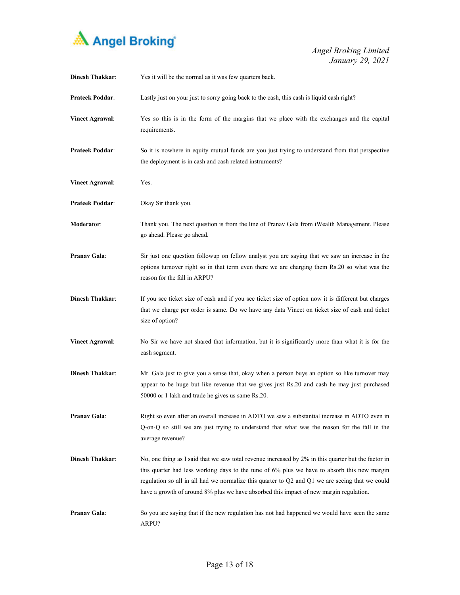

| <b>Dinesh Thakkar:</b> | Yes it will be the normal as it was few quarters back.                                                                                                                                                                                                                                                                                                                                          |
|------------------------|-------------------------------------------------------------------------------------------------------------------------------------------------------------------------------------------------------------------------------------------------------------------------------------------------------------------------------------------------------------------------------------------------|
| <b>Prateek Poddar:</b> | Lastly just on your just to sorry going back to the cash, this cash is liquid cash right?                                                                                                                                                                                                                                                                                                       |
| <b>Vineet Agrawal:</b> | Yes so this is in the form of the margins that we place with the exchanges and the capital<br>requirements.                                                                                                                                                                                                                                                                                     |
| <b>Prateek Poddar:</b> | So it is nowhere in equity mutual funds are you just trying to understand from that perspective<br>the deployment is in cash and cash related instruments?                                                                                                                                                                                                                                      |
| <b>Vineet Agrawal:</b> | Yes.                                                                                                                                                                                                                                                                                                                                                                                            |
| <b>Prateek Poddar:</b> | Okay Sir thank you.                                                                                                                                                                                                                                                                                                                                                                             |
| Moderator:             | Thank you. The next question is from the line of Pranav Gala from iWealth Management. Please<br>go ahead. Please go ahead.                                                                                                                                                                                                                                                                      |
| <b>Pranav Gala:</b>    | Sir just one question followup on fellow analyst you are saying that we saw an increase in the<br>options turnover right so in that term even there we are charging them Rs.20 so what was the<br>reason for the fall in ARPU?                                                                                                                                                                  |
| <b>Dinesh Thakkar:</b> | If you see ticket size of cash and if you see ticket size of option now it is different but charges<br>that we charge per order is same. Do we have any data Vineet on ticket size of cash and ticket<br>size of option?                                                                                                                                                                        |
| <b>Vineet Agrawal:</b> | No Sir we have not shared that information, but it is significantly more than what it is for the<br>cash segment.                                                                                                                                                                                                                                                                               |
| <b>Dinesh Thakkar:</b> | Mr. Gala just to give you a sense that, okay when a person buys an option so like turnover may<br>appear to be huge but like revenue that we gives just Rs.20 and cash he may just purchased<br>50000 or 1 lakh and trade he gives us same Rs.20.                                                                                                                                               |
| Pranav Gala:           | Right so even after an overall increase in ADTO we saw a substantial increase in ADTO even in<br>Q-on-Q so still we are just trying to understand that what was the reason for the fall in the<br>average revenue?                                                                                                                                                                              |
| <b>Dinesh Thakkar:</b> | No, one thing as I said that we saw total revenue increased by 2% in this quarter but the factor in<br>this quarter had less working days to the tune of 6% plus we have to absorb this new margin<br>regulation so all in all had we normalize this quarter to Q2 and Q1 we are seeing that we could<br>have a growth of around 8% plus we have absorbed this impact of new margin regulation. |
| Pranav Gala:           | So you are saying that if the new regulation has not had happened we would have seen the same<br>ARPU?                                                                                                                                                                                                                                                                                          |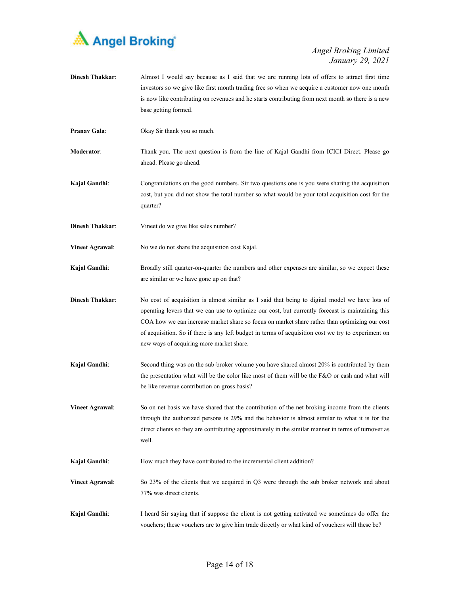

| <b>Dinesh Thakkar:</b> | Almost I would say because as I said that we are running lots of offers to attract first time<br>investors so we give like first month trading free so when we acquire a customer now one month<br>is now like contributing on revenues and he starts contributing from next month so there is a new<br>base getting formed.                                                                                                                            |
|------------------------|---------------------------------------------------------------------------------------------------------------------------------------------------------------------------------------------------------------------------------------------------------------------------------------------------------------------------------------------------------------------------------------------------------------------------------------------------------|
| <b>Pranav Gala:</b>    | Okay Sir thank you so much.                                                                                                                                                                                                                                                                                                                                                                                                                             |
| Moderator:             | Thank you. The next question is from the line of Kajal Gandhi from ICICI Direct. Please go<br>ahead. Please go ahead.                                                                                                                                                                                                                                                                                                                                   |
| Kajal Gandhi:          | Congratulations on the good numbers. Sir two questions one is you were sharing the acquisition<br>cost, but you did not show the total number so what would be your total acquisition cost for the<br>quarter?                                                                                                                                                                                                                                          |
| <b>Dinesh Thakkar:</b> | Vineet do we give like sales number?                                                                                                                                                                                                                                                                                                                                                                                                                    |
| <b>Vineet Agrawal:</b> | No we do not share the acquisition cost Kajal.                                                                                                                                                                                                                                                                                                                                                                                                          |
| Kajal Gandhi:          | Broadly still quarter-on-quarter the numbers and other expenses are similar, so we expect these<br>are similar or we have gone up on that?                                                                                                                                                                                                                                                                                                              |
| <b>Dinesh Thakkar:</b> | No cost of acquisition is almost similar as I said that being to digital model we have lots of<br>operating levers that we can use to optimize our cost, but currently forecast is maintaining this<br>COA how we can increase market share so focus on market share rather than optimizing our cost<br>of acquisition. So if there is any left budget in terms of acquisition cost we try to experiment on<br>new ways of acquiring more market share. |
| Kajal Gandhi:          | Second thing was on the sub-broker volume you have shared almost 20% is contributed by them<br>the presentation what will be the color like most of them will be the F&O or cash and what will<br>be like revenue contribution on gross basis?                                                                                                                                                                                                          |
| <b>Vineet Agrawal:</b> | So on net basis we have shared that the contribution of the net broking income from the clients<br>through the authorized persons is 29% and the behavior is almost similar to what it is for the<br>direct clients so they are contributing approximately in the similar manner in terms of turnover as<br>well.                                                                                                                                       |
| Kajal Gandhi:          | How much they have contributed to the incremental client addition?                                                                                                                                                                                                                                                                                                                                                                                      |
| <b>Vineet Agrawal:</b> | So 23% of the clients that we acquired in Q3 were through the sub broker network and about<br>77% was direct clients.                                                                                                                                                                                                                                                                                                                                   |
| Kajal Gandhi:          | I heard Sir saying that if suppose the client is not getting activated we sometimes do offer the<br>vouchers; these vouchers are to give him trade directly or what kind of vouchers will these be?                                                                                                                                                                                                                                                     |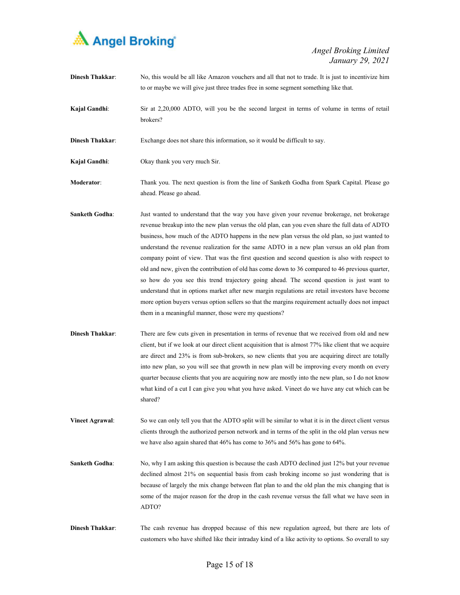

| <b>Dinesh Thakkar:</b> | No, this would be all like Amazon vouchers and all that not to trade. It is just to incentivize him<br>to or maybe we will give just three trades free in some segment something like that.                                                                                                                                                                                                                                                                                                                                                                                                                                                                                                                                                                                                                                                                                                                                                                     |
|------------------------|-----------------------------------------------------------------------------------------------------------------------------------------------------------------------------------------------------------------------------------------------------------------------------------------------------------------------------------------------------------------------------------------------------------------------------------------------------------------------------------------------------------------------------------------------------------------------------------------------------------------------------------------------------------------------------------------------------------------------------------------------------------------------------------------------------------------------------------------------------------------------------------------------------------------------------------------------------------------|
| Kajal Gandhi:          | Sir at 2,20,000 ADTO, will you be the second largest in terms of volume in terms of retail<br>brokers?                                                                                                                                                                                                                                                                                                                                                                                                                                                                                                                                                                                                                                                                                                                                                                                                                                                          |
| <b>Dinesh Thakkar:</b> | Exchange does not share this information, so it would be difficult to say.                                                                                                                                                                                                                                                                                                                                                                                                                                                                                                                                                                                                                                                                                                                                                                                                                                                                                      |
| Kajal Gandhi:          | Okay thank you very much Sir.                                                                                                                                                                                                                                                                                                                                                                                                                                                                                                                                                                                                                                                                                                                                                                                                                                                                                                                                   |
| Moderator:             | Thank you. The next question is from the line of Sanketh Godha from Spark Capital. Please go<br>ahead. Please go ahead.                                                                                                                                                                                                                                                                                                                                                                                                                                                                                                                                                                                                                                                                                                                                                                                                                                         |
| <b>Sanketh Godha:</b>  | Just wanted to understand that the way you have given your revenue brokerage, net brokerage<br>revenue breakup into the new plan versus the old plan, can you even share the full data of ADTO<br>business, how much of the ADTO happens in the new plan versus the old plan, so just wanted to<br>understand the revenue realization for the same ADTO in a new plan versus an old plan from<br>company point of view. That was the first question and second question is also with respect to<br>old and new, given the contribution of old has come down to 36 compared to 46 previous quarter,<br>so how do you see this trend trajectory going ahead. The second question is just want to<br>understand that in options market after new margin regulations are retail investors have become<br>more option buyers versus option sellers so that the margins requirement actually does not impact<br>them in a meaningful manner, those were my questions? |
| <b>Dinesh Thakkar:</b> | There are few cuts given in presentation in terms of revenue that we received from old and new<br>client, but if we look at our direct client acquisition that is almost 77% like client that we acquire<br>are direct and 23% is from sub-brokers, so new clients that you are acquiring direct are totally<br>into new plan, so you will see that growth in new plan will be improving every month on every<br>quarter because clients that you are acquiring now are mostly into the new plan, so I do not know<br>what kind of a cut I can give you what you have asked. Vineet do we have any cut which can be<br>shared?                                                                                                                                                                                                                                                                                                                                  |
| <b>Vineet Agrawal:</b> | So we can only tell you that the ADTO split will be similar to what it is in the direct client versus<br>clients through the authorized person network and in terms of the split in the old plan versus new<br>we have also again shared that $46\%$ has come to $36\%$ and $56\%$ has gone to $64\%$ .                                                                                                                                                                                                                                                                                                                                                                                                                                                                                                                                                                                                                                                         |
| <b>Sanketh Godha:</b>  | No, why I am asking this question is because the cash ADTO declined just 12% but your revenue<br>declined almost 21% on sequential basis from cash broking income so just wondering that is<br>because of largely the mix change between flat plan to and the old plan the mix changing that is<br>some of the major reason for the drop in the cash revenue versus the fall what we have seen in<br>ADTO?                                                                                                                                                                                                                                                                                                                                                                                                                                                                                                                                                      |

**Dinesh Thakkar**: The cash revenue has dropped because of this new regulation agreed, but there are lots of customers who have shifted like their intraday kind of a like activity to options. So overall to say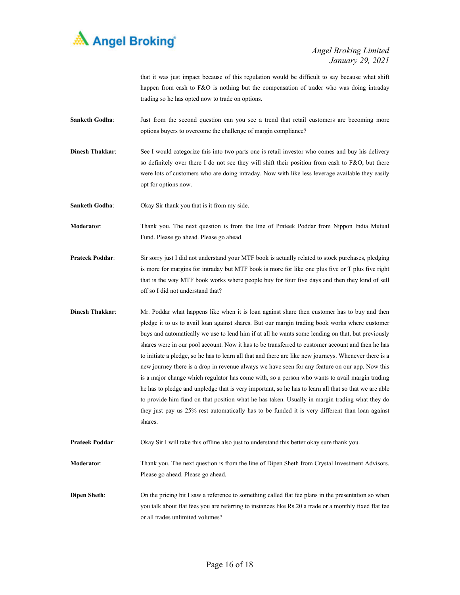

that it was just impact because of this regulation would be difficult to say because what shift happen from cash to F&O is nothing but the compensation of trader who was doing intraday trading so he has opted now to trade on options.

- **Sanketh Godha:** Just from the second question can you see a trend that retail customers are becoming more options buyers to overcome the challenge of margin compliance?
- **Dinesh Thakkar**: See I would categorize this into two parts one is retail investor who comes and buy his delivery so definitely over there I do not see they will shift their position from cash to F&O, but there were lots of customers who are doing intraday. Now with like less leverage available they easily opt for options now.
- **Sanketh Godha**: Okay Sir thank you that is it from my side.
- **Moderator**: Thank you. The next question is from the line of Prateek Poddar from Nippon India Mutual Fund. Please go ahead. Please go ahead.
- **Prateek Poddar**: Sir sorry just I did not understand your MTF book is actually related to stock purchases, pledging is more for margins for intraday but MTF book is more for like one plus five or T plus five right that is the way MTF book works where people buy for four five days and then they kind of sell off so I did not understand that?
- **Dinesh Thakkar:** Mr. Poddar what happens like when it is loan against share then customer has to buy and then pledge it to us to avail loan against shares. But our margin trading book works where customer buys and automatically we use to lend him if at all he wants some lending on that, but previously shares were in our pool account. Now it has to be transferred to customer account and then he has to initiate a pledge, so he has to learn all that and there are like new journeys. Whenever there is a new journey there is a drop in revenue always we have seen for any feature on our app. Now this is a major change which regulator has come with, so a person who wants to avail margin trading he has to pledge and unpledge that is very important, so he has to learn all that so that we are able to provide him fund on that position what he has taken. Usually in margin trading what they do they just pay us 25% rest automatically has to be funded it is very different than loan against shares.
- **Prateek Poddar**: Okay Sir I will take this offline also just to understand this better okay sure thank you.
- **Moderator**: Thank you. The next question is from the line of Dipen Sheth from Crystal Investment Advisors. Please go ahead. Please go ahead.
- **Dipen Sheth:** On the pricing bit I saw a reference to something called flat fee plans in the presentation so when you talk about flat fees you are referring to instances like Rs.20 a trade or a monthly fixed flat fee or all trades unlimited volumes?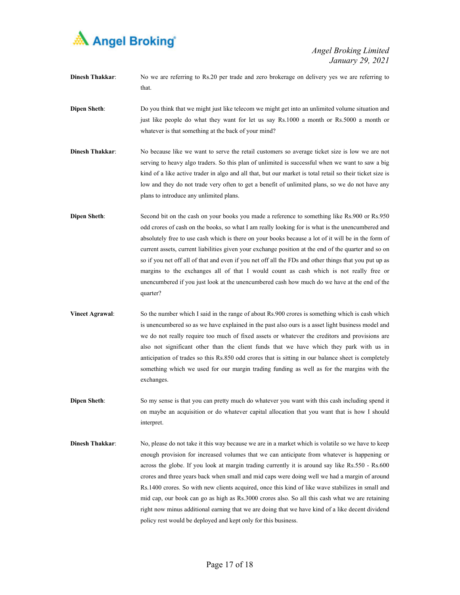

- **Dinesh Thakkar**: No we are referring to Rs.20 per trade and zero brokerage on delivery yes we are referring to that.
- **Dipen Sheth:** Do you think that we might just like telecom we might get into an unlimited volume situation and just like people do what they want for let us say Rs.1000 a month or Rs.5000 a month or whatever is that something at the back of your mind?
- **Dinesh Thakkar:** No because like we want to serve the retail customers so average ticket size is low we are not serving to heavy algo traders. So this plan of unlimited is successful when we want to saw a big kind of a like active trader in algo and all that, but our market is total retail so their ticket size is low and they do not trade very often to get a benefit of unlimited plans, so we do not have any plans to introduce any unlimited plans.
- **Dipen Sheth:** Second bit on the cash on your books you made a reference to something like Rs.900 or Rs.950 odd crores of cash on the books, so what I am really looking for is what is the unencumbered and absolutely free to use cash which is there on your books because a lot of it will be in the form of current assets, current liabilities given your exchange position at the end of the quarter and so on so if you net off all of that and even if you net off all the FDs and other things that you put up as margins to the exchanges all of that I would count as cash which is not really free or unencumbered if you just look at the unencumbered cash how much do we have at the end of the quarter?
- **Vineet Agrawal:** So the number which I said in the range of about Rs.900 crores is something which is cash which is unencumbered so as we have explained in the past also ours is a asset light business model and we do not really require too much of fixed assets or whatever the creditors and provisions are also not significant other than the client funds that we have which they park with us in anticipation of trades so this Rs.850 odd crores that is sitting in our balance sheet is completely something which we used for our margin trading funding as well as for the margins with the exchanges.
- **Dipen Sheth:** So my sense is that you can pretty much do whatever you want with this cash including spend it on maybe an acquisition or do whatever capital allocation that you want that is how I should interpret.
- **Dinesh Thakkar:** No, please do not take it this way because we are in a market which is volatile so we have to keep enough provision for increased volumes that we can anticipate from whatever is happening or across the globe. If you look at margin trading currently it is around say like Rs.550 - Rs.600 crores and three years back when small and mid caps were doing well we had a margin of around Rs.1400 crores. So with new clients acquired, once this kind of like wave stabilizes in small and mid cap, our book can go as high as Rs.3000 crores also. So all this cash what we are retaining right now minus additional earning that we are doing that we have kind of a like decent dividend policy rest would be deployed and kept only for this business.